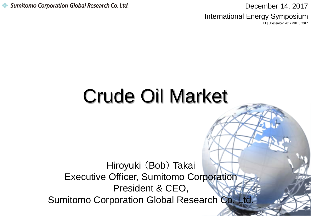Sumitomo Corporation Global Research Co. Ltd.

December 14, 2017 International Energy Symposium

IEEJ:December 2017 © IEEJ2017

# Crude Oil Market

Hiroyuki (Bob) Takai Executive Officer, Sumitomo Corporation President & CEO, Sumitomo Corporation Global Research Co. Ltd.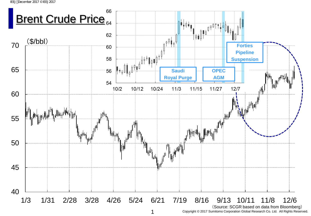IEEJ:December 2017 © IEEJ2017

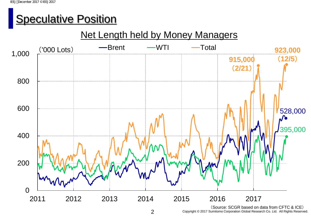## **Speculative Position**

### Net Length held by Money Managers



2 Copyright © 2017 Sumitomo Corporation Global Research Co. Ltd. All Rights Reserved.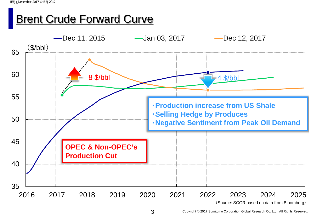## **Brent Crude Forward Curve**